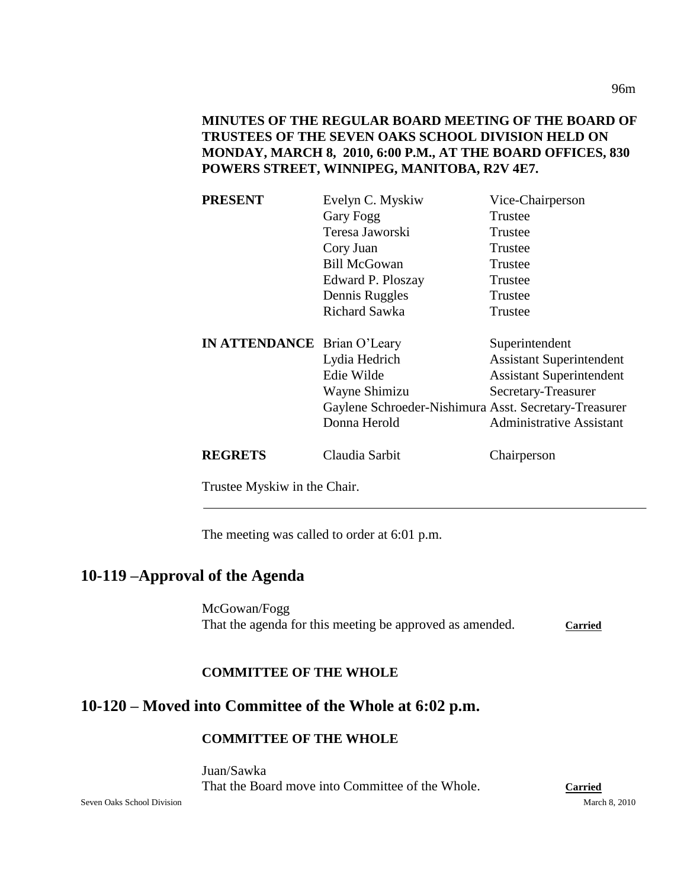**MINUTES OF THE REGULAR BOARD MEETING OF THE BOARD OF TRUSTEES OF THE SEVEN OAKS SCHOOL DIVISION HELD ON MONDAY, MARCH 8, 2010, 6:00 P.M., AT THE BOARD OFFICES, 830 POWERS STREET, WINNIPEG, MANITOBA, R2V 4E7.**

| <b>PRESENT</b>                     | Evelyn C. Myskiw                                      | Vice-Chairperson                |
|------------------------------------|-------------------------------------------------------|---------------------------------|
|                                    | Gary Fogg                                             | Trustee                         |
|                                    | Teresa Jaworski                                       | Trustee                         |
|                                    | Cory Juan                                             | Trustee                         |
|                                    | <b>Bill McGowan</b>                                   | Trustee                         |
|                                    | Edward P. Ploszay                                     | Trustee                         |
|                                    | Dennis Ruggles                                        | Trustee                         |
|                                    | <b>Richard Sawka</b>                                  | Trustee                         |
| <b>IN ATTENDANCE</b> Brian O'Leary |                                                       | Superintendent                  |
|                                    | Lydia Hedrich                                         | <b>Assistant Superintendent</b> |
|                                    | Edie Wilde                                            | <b>Assistant Superintendent</b> |
|                                    | Wayne Shimizu                                         | Secretary-Treasurer             |
|                                    | Gaylene Schroeder-Nishimura Asst. Secretary-Treasurer |                                 |
|                                    | Donna Herold                                          | <b>Administrative Assistant</b> |
| <b>REGRETS</b>                     | Claudia Sarbit                                        | Chairperson                     |

Trustee Myskiw in the Chair.

The meeting was called to order at 6:01 p.m.

## **10-119 –Approval of the Agenda**

McGowan/Fogg That the agenda for this meeting be approved as amended. Carried

#### **COMMITTEE OF THE WHOLE**

# **10-120 – Moved into Committee of the Whole at 6:02 p.m.**

#### **COMMITTEE OF THE WHOLE**

Juan/Sawka That the Board move into Committee of the Whole. **Carried**